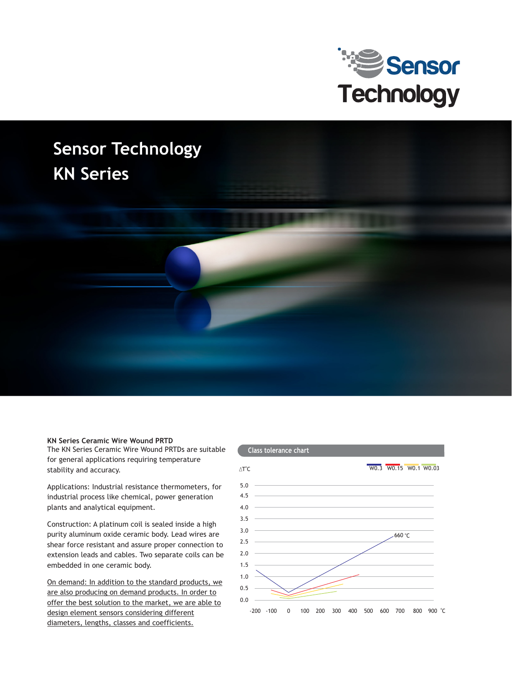

## **Sensor Technology KN Series**



The KN Series Ceramic Wire Wound PRTDs are suitable for general applications requiring temperature stability and accuracy.

Applications: Industrial resistance thermometers, for industrial process like chemical, power generation plants and analytical equipment.

Construction: A platinum coil is sealed inside a high purity aluminum oxide ceramic body. Lead wires are shear force resistant and assure proper connection to extension leads and cables. Two separate coils can be embedded in one ceramic body.

On demand: In addition to the standard products, we are also producing on demand products. In order to offer the best solution to the market, we are able to design element sensors considering different diameters, lengths, classes and coefficients.

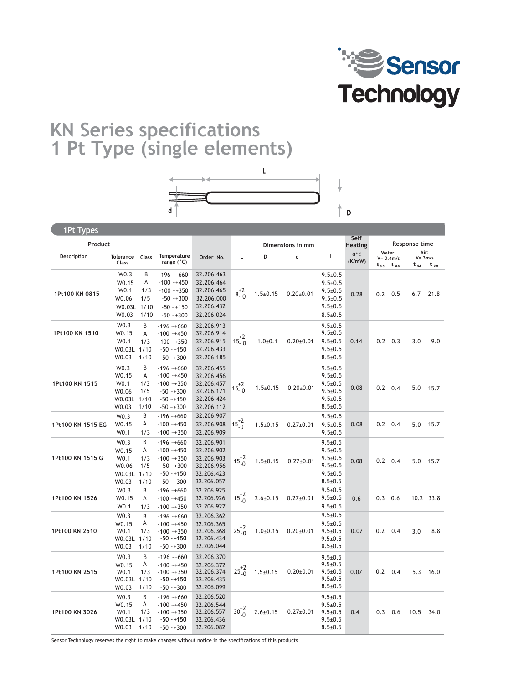

## **KN Series specifications 1 Pt Type (single elements)**



1Pt Models **1Pt Types**

| <br>Product       |                                                                    |                              |                                                                                                |                                                                                  | Dimensions in mm |                | Self<br><b>Heating</b> | Response time                                                                                      |               |                 |                                     |                                 |            |
|-------------------|--------------------------------------------------------------------|------------------------------|------------------------------------------------------------------------------------------------|----------------------------------------------------------------------------------|------------------|----------------|------------------------|----------------------------------------------------------------------------------------------------|---------------|-----------------|-------------------------------------|---------------------------------|------------|
| Description       | Tolerance<br>Class                                                 | Class                        | Temperature<br>range (°C)                                                                      | Order No.                                                                        | Г                | D              | d                      | $\mathbf{I}$                                                                                       | 0°C<br>(K/mW) | $t_{0.5}$       | Water:<br>$V = 0.4m/s$<br>$t_{0.9}$ | Air:<br>$V = 3m/s$<br>$t_{0.5}$ | $t_{0.9}$  |
| 1Pt100 KN 0815    | W0.3<br>W0.15<br>W0.1<br>W0.06<br>W0.03L 1/10<br>W0.03             | B<br>А<br>1/3<br>1/5<br>1/10 | $-196 - +660$<br>$-100 - +450$<br>$-100 - +350$<br>$-50 - +300$<br>$-50 - 150$<br>$-50 - +300$ | 32.206.463<br>32.206.464<br>32.206.465<br>32.206.000<br>32.206.432<br>32.206.024 | $8^{+2}_{-0}$    | $1.5 \pm 0.15$ | $0.20 \pm 0.01$        | $9.5 \pm 0.5$<br>$9.5 \pm 0.5$<br>$9.5 \pm 0.5$<br>$9.5 \pm 0.5$<br>$9.5 \pm 0.5$<br>$8.5 \pm 0.5$ | 0.28          | $0.2 \quad 0.5$ |                                     |                                 | $6.7$ 21.8 |
| 1Pt100 KN 1510    | W0.3<br>W0.15<br>W <sub>0.1</sub><br>W0.03L 1/10<br>W0.03          | B<br>A<br>1/3<br>1/10        | $-196 - +660$<br>$-100 - +450$<br>$-100 - +350$<br>$-50 - 150$<br>$-50 - +300$                 | 32.206.913<br>32.206.914<br>32.206.915<br>32.206.433<br>32.206.185               | $15^{+2}_{-0}$   | $1.0 + 0.1$    | $0.20 \pm 0.01$        | $9.5 \pm 0.5$<br>$9.5 \pm 0.5$<br>$9.5 \pm 0.5$<br>$9.5 \pm 0.5$<br>$8.5 \pm 0.5$                  | 0.14          | $0.2 \quad 0.3$ |                                     | 3.0                             | 9.0        |
| 1Pt100 KN 1515    | W0.3<br>W0.15<br>W0.1<br>W0.06<br>W0.03L 1/10<br>W0.03             | B<br>А<br>1/3<br>1/5<br>1/10 | $-196 - +660$<br>$-100 - +450$<br>$-100 - +350$<br>$-50 - +300$<br>$-50 - 150$<br>$-50 - +300$ | 32.206.455<br>32.206.456<br>32.206.457<br>32.206.171<br>32.206.424<br>32.206.112 | $15^{+2}_{-0}$   | $1.5 \pm 0.15$ | $0.20 \pm 0.01$        | $9.5 \pm 0.5$<br>$9.5 \pm 0.5$<br>$9.5 \pm 0.5$<br>$9.5 \pm 0.5$<br>$9.5 \pm 0.5$<br>$8.5 \pm 0.5$ | 0.08          | $0.2 \quad 0.4$ |                                     |                                 | 5.0 15.7   |
| 1Pt100 KN 1515 EG | W0.3<br>W0.15<br>W <sub>0.1</sub>                                  | B<br>А<br>1/3                | $-196 - +660$<br>$-100 - +450$<br>$-100 - +350$                                                | 32.206.907<br>32.206.908<br>32.206.909                                           | $15^{+2}_{-0}$   | $1.5 \pm 0.15$ | $0.27 \pm 0.01$        | $9.5 \pm 0.5$<br>$9.5 \pm 0.5$<br>$9.5 \pm 0.5$                                                    | 0.08          | $0.2 \quad 0.4$ |                                     | 5.0                             | 15.7       |
| 1Pt100 KN 1515 G  | W0.3<br>W0.15<br>W <sub>0.1</sub><br>W0.06<br>W0.03L 1/10<br>W0.03 | B<br>А<br>1/3<br>1/5<br>1/10 | $-196 - +660$<br>$-100 - +450$<br>$-100 - +350$<br>$-50 - +300$<br>$-50 - 150$<br>$-50 - +300$ | 32.206.901<br>32.206.902<br>32.206.903<br>32.206.956<br>32.206.423<br>32.206.057 | $15^{+2}_{-0}$   | $1.5 \pm 0.15$ | $0.27 \pm 0.01$        | $9.5 \pm 0.5$<br>$9.5 \pm 0.5$<br>$9.5 \pm 0.5$<br>$9.5 \pm 0.5$<br>$9.5 \pm 0.5$<br>$8.5 \pm 0.5$ | 0.08          | $0.2 \quad 0.4$ |                                     | 5.0                             | 15.7       |
| 1Pt100 KN 1526    | W0.3<br>W0.15<br>W0.1                                              | B<br>А<br>1/3                | $-196 - +660$<br>$-100 - +450$<br>$-100 - 350$                                                 | 32.206.925<br>32.206.926<br>32.206.927                                           | $15^{+2}_{-0}$   | $2.6 \pm 0.15$ | $0.27 \pm 0.01$        | $9.5 \pm 0.5$<br>$9.5 \pm 0.5$<br>$9.5 \pm 0.5$                                                    | 0.6           | 0.3             | 0.6                                 |                                 | 10.2 33.8  |
| 1Pt100 KN 2510    | W0.3<br>W0.15<br>W0.1<br>W0.03L 1/10<br>W0.03                      | B<br>А<br>1/3<br>1/10        | $-196 - +660$<br>$-100 - +450$<br>$-100 - +350$<br>$-50 - 150$<br>$-50 - +300$                 | 32.206.362<br>32.206.365<br>32.206.368<br>32.206.434<br>32.206.044               | $25^{+2}_{-0}$   | $1.0 + 0.15$   | $0.20 \pm 0.01$        | $9.5 \pm 0.5$<br>$9.5 \pm 0.5$<br>$9.5 \pm 0.5$<br>$9.5 \pm 0.5$<br>$8.5 \pm 0.5$                  | 0.07          | $0.2 \quad 0.4$ |                                     | 3.0                             | 8.8        |
| 1Pt100 KN 2515    | W0.3<br>W <sub>0.15</sub><br>W0.1<br>W0.03L 1/10<br>W0.03          | B<br>А<br>1/3<br>1/10        | $-196 - +660$<br>$-100 - +450$<br>$-100 - +350$<br>$-50 - +150$<br>$-50 - +300$                | 32.206.370<br>32.206.372<br>32.206.374<br>32.206.435<br>32.206.099               | $25^{+2}_{-0}$   | $1.5 \pm 0.15$ | $0.20 \pm 0.01$        | $9.5 \pm 0.5$<br>$9.5 \pm 0.5$<br>$9.5 \pm 0.5$<br>$9.5 \pm 0.5$<br>$8.5 \pm 0.5$                  | 0.07          | $0.2 \quad 0.4$ |                                     | 5.3                             | 16.0       |
| 1Pt100 KN 3026    | W0.3<br>W0.15<br>W <sub>0.1</sub><br>W0.03L 1/10<br>W0.03          | B<br>А<br>1/3<br>1/10        | $-196 - +660$<br>$-100 - +450$<br>$-100 - +350$<br>$-50 - 150$<br>$-50 - +300$                 | 32.206.520<br>32.206.544<br>32.206.557<br>32.206.436<br>32.206.082               | $30^{+2}_{-0}$   | $2.6 \pm 0.15$ | $0.27 \pm 0.01$        | $9.5 \pm 0.5$<br>$9.5 \pm 0.5$<br>$9.5 \pm 0.5$<br>$9.5 \pm 0.5$<br>$8.5 \pm 0.5$                  | 0.4           | 0.3             | 0.6                                 | 10.5                            | 34.0       |

Sensor Technology reserves the right to make changes without notice in the specifications of this products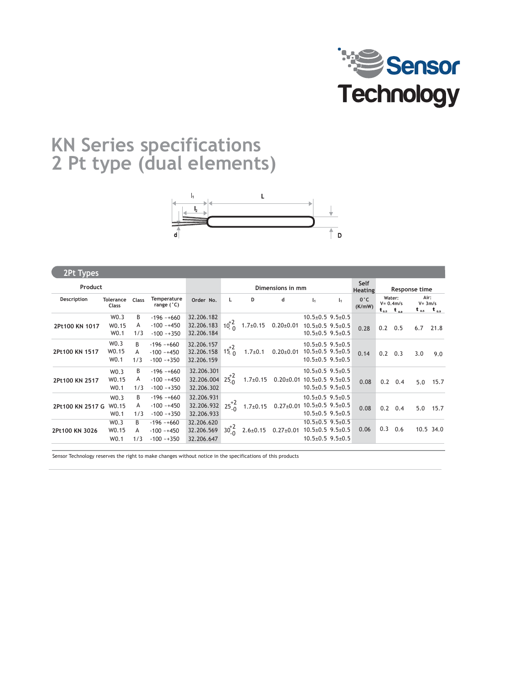

## **KN Series specifications 2 Pt type (dual elements)**



1Pt Models **2Pt Types** 0.28  $10^{+2}_{-0}$ **Description Class Order No. L 2Pt100 KN 1017** W0.15 A -100 ~+450 32.206.183<br>W0.1 1/3 -100 ~+350 32.206.184 32.206.182 32.206.184 0.20±0.01 10.5±0.5 1.7±0.15 **D d l** W0.3 W0.15 W0.1 **Dimensions in mm Product Self**   $0°c$ **(K/mW) Heating** 2Pt100 KN 1517 W0.15 A -100 *~*+450 32.206.158 15  $\frac{1}{0}$  1.7±0.1 0.20±0.01 10.5±0.5 32.206.157<br>32.206.158 32.206.159  $15^{+2}_{0}$ W0.3 W0.15 W0.1 0.14 **Temperature range (°C)**  $-196 - +660$ **Tolerance** Class B  $-100 - +450$  $-100 - 350$ B  $-196$   $-+660$ <br>A  $-100$   $-+450$ A  $-100$   $-+450$ <br>1/3  $-100$   $-+350$  $-100 - +350$ **2Pt100 KN 2517** W0.15 A  $-100 \times 450$  32.206.004 25<sub>0</sub> 1.7±0.15 0.20±0.01 10.5±0.5 9.5±0.5 0.08 32.206.301  $32.206.004 \quad 25^{+2}_{0}$ 32.206.302 W0.3 W0.15 W0.1 B -196 ~+660 A  $-100 - +450$ 1/3 -100 ~+350 **2Pt100 KN 2517 G** 32.206.931  $32.206.932 \begin{array}{l} 25^{+2} \\ 25^{+2} \\ 0 \end{array}$  $\frac{10.15}{10.4}$   $\frac{A}{10.48}$   $\frac{10.4450}{10.48}$   $\frac{32.206.932}{32.206.932}$   $\frac{25^{4}6}{20.4}$   $\frac{1.7\pm0.15}{1.7\pm0.15}$   $\frac{0.27\pm0.01}{10.5\pm0.5}$   $\frac{10.5\pm0.5}{10.5}$   $\frac{9.5\pm0.5}{1.0}$   $\frac{0.08}{10.5}$ W0.3 W0.1 1/3 -100 -+350 32.206.933 B  $-196 - 660$ A  $-100 - +450$  $-100 - +350$ 10.5±0.5 9.5±0.5 10.5±0.5 9.5±0.5 10.5±0.5 9.5±0.5 10.5±0.5 9.5±0.5 **2Pt100 KN 3026** 32.206.620 32.206.569 32.206.647  $30^{+2}_{-0}$  $\frac{1}{10}$  2.6±0.15 0.27±0.01 10.5±0.5 9.5±0.5 W0.3 W0.15 W0.1  $B -196 - 660$ A -100 ~+450  $1/3$  -100 ~+350 10.5±0.5 9.5±0.5 10.5±0.5 9.5±0.5 10.5±0.5 9.5±0.5 10.5±0.5 9.5±0.5 10.5±0.5 9.5±0.5 10.5±0.5 9.5±0.5 0.2 0.5 6.7 21.8 **Water: V= 0.4m/s**  $t_{0.5}$   $t_{0.9}$   $t_{0.5}$   $t_{0.9}$ **Response time** 0.2 0.3 3.0 9.0 **Air: V= 3m/s** 0.2 0.4 5.0 15.7 0.2 0.4 5.0 15.7 **1**  $10.5\pm0.5$  9.5 $\pm0.5$ **l 1**  $10.5 \pm 0.5$  9.5 $\pm 0.5$ 0.06 0.3 0.6 10.5 34.0

Sensor Technology reserves the right to make changes without notice in the specifications of this products